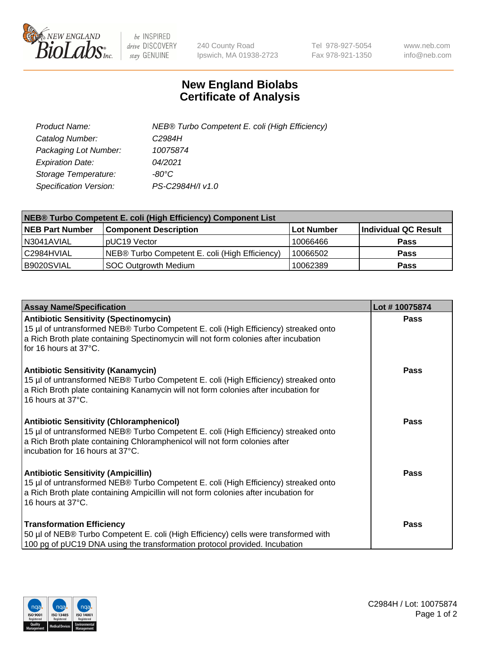

 $be$  INSPIRED drive DISCOVERY stay GENUINE

240 County Road Ipswich, MA 01938-2723 Tel 978-927-5054 Fax 978-921-1350 www.neb.com info@neb.com

## **New England Biolabs Certificate of Analysis**

| Product Name:           | NEB® Turbo Competent E. coli (High Efficiency) |
|-------------------------|------------------------------------------------|
| Catalog Number:         | C <sub>2984</sub> H                            |
| Packaging Lot Number:   | 10075874                                       |
| <b>Expiration Date:</b> | 04/2021                                        |
| Storage Temperature:    | -80°C                                          |
| Specification Version:  | PS-C2984H/I v1.0                               |

| <b>NEB® Turbo Competent E. coli (High Efficiency) Component List</b> |                                                |                   |                      |  |
|----------------------------------------------------------------------|------------------------------------------------|-------------------|----------------------|--|
| <b>NEB Part Number</b>                                               | <b>Component Description</b>                   | <b>Lot Number</b> | Individual QC Result |  |
| N3041AVIAL                                                           | pUC19 Vector                                   | 10066466          | <b>Pass</b>          |  |
| C2984HVIAL                                                           | NEB® Turbo Competent E. coli (High Efficiency) | 10066502          | <b>Pass</b>          |  |
| B9020SVIAL                                                           | SOC Outgrowth Medium                           | 10062389          | <b>Pass</b>          |  |

| <b>Assay Name/Specification</b>                                                                                                                                                                                                                          | Lot #10075874 |
|----------------------------------------------------------------------------------------------------------------------------------------------------------------------------------------------------------------------------------------------------------|---------------|
| <b>Antibiotic Sensitivity (Spectinomycin)</b><br>15 µl of untransformed NEB® Turbo Competent E. coli (High Efficiency) streaked onto<br>a Rich Broth plate containing Spectinomycin will not form colonies after incubation<br>for 16 hours at 37°C.     | Pass          |
| <b>Antibiotic Sensitivity (Kanamycin)</b><br>15 µl of untransformed NEB® Turbo Competent E. coli (High Efficiency) streaked onto<br>a Rich Broth plate containing Kanamycin will not form colonies after incubation for<br>16 hours at 37°C.             | <b>Pass</b>   |
| <b>Antibiotic Sensitivity (Chloramphenicol)</b><br>15 µl of untransformed NEB® Turbo Competent E. coli (High Efficiency) streaked onto<br>a Rich Broth plate containing Chloramphenicol will not form colonies after<br>incubation for 16 hours at 37°C. | Pass          |
| <b>Antibiotic Sensitivity (Ampicillin)</b><br>15 µl of untransformed NEB® Turbo Competent E. coli (High Efficiency) streaked onto<br>a Rich Broth plate containing Ampicillin will not form colonies after incubation for<br>16 hours at 37°C.           | Pass          |
| <b>Transformation Efficiency</b><br>50 µl of NEB® Turbo Competent E. coli (High Efficiency) cells were transformed with<br>100 pg of pUC19 DNA using the transformation protocol provided. Incubation                                                    | Pass          |